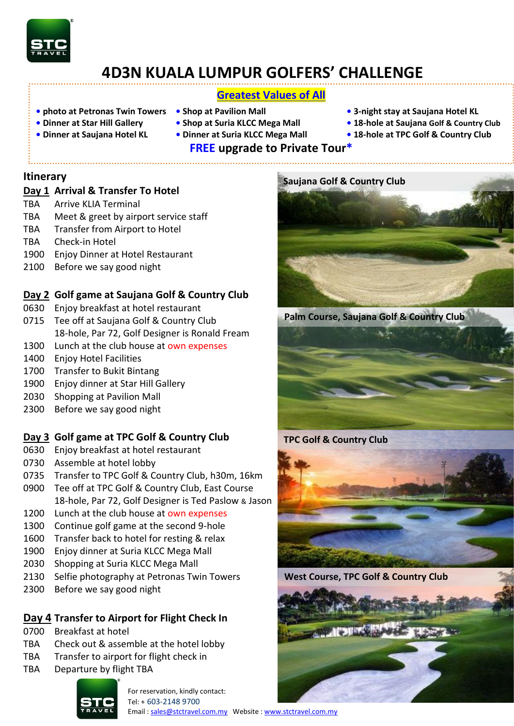

# **4D3N KUALA LUMPUR GOLFERS' CHALLENGE**

# **Greatest Values of All**

- **• photo at Petronas Twin Towers Shop at Pavilion Mall 3-night stay at Saujana Hotel KL**
- 
- 
- 
- 
- - **FREE upgrade to Private Tour\***
- 
- **• Dinner at Star Hill Gallery Shop at Suria KLCC Mega Mall 18-hole at Saujana Golf & Country Club**
- **Dinner at Saujana Hotel KL Dinner at Suria KLCC Mega Mall • 18-hole at TPC Golf & Country Club**

# **Itinerary**

### **Day 1 Arrival & Transfer To Hotel**

- TBA Arrive KLIA Terminal
- TBA Meet & greet by airport service staff
- TBA Transfer from Airport to Hotel
- TBA Check-in Hotel
- 1900 Enjoy Dinner at Hotel Restaurant
- 2100 Before we say good night

### **Day 2 Golf game at Saujana Golf & Country Club**

- 0630 Enjoy breakfast at hotel restaurant
- 0715 Tee off at Saujana Golf & Country Club 18-hole, Par 72, Golf Designer is Ronald Fream
- 1300 Lunch at the club house at own expenses
- 1400 Enjoy Hotel Facilities
- 1700 Transfer to Bukit Bintang
- 1900 Enjoy dinner at Star Hill Gallery
- 2030 Shopping at Pavilion Mall
- 2300 Before we say good night

### **Day 3 Golf game at TPC Golf & Country Club**

- 0630 Enjoy breakfast at hotel restaurant
- 0730 Assemble at hotel lobby
- 0735 Transfer to TPC Golf & Country Club, h30m, 16km
- 0900 Tee off at TPC Golf & Country Club, East Course 18-hole, Par 72, Golf Designer is Ted Paslow & Jason
- 1200 Lunch at the club house at own expenses
- 1300 Continue golf game at the second 9-hole
- 1600 Transfer back to hotel for resting & relax
- 1900 Enjoy dinner at Suria KLCC Mega Mall
- 2030 Shopping at Suria KLCC Mega Mall
- 2130 Selfie photography at Petronas Twin Towers
- 2300 Before we say good night

# **Day 4 Transfer to Airport for Flight Check In**

- 0700 Breakfast at hotel
- TBA Check out & assemble at the hotel lobby
- TBA Transfer to airport for flight check in
- TBA Departure by flight TBA



For reservation, kindly contact: Tel: + 603-2148 9700



**Palm Course, Saujana Golf & Country Club**





**West Course, TPC Golf & Country Club**

Email [: sales@stctravel.com.my](mailto:sales@stctravel.com.my) Website [: www.stctravel.com.my](http://www.stctravel.com.my/)